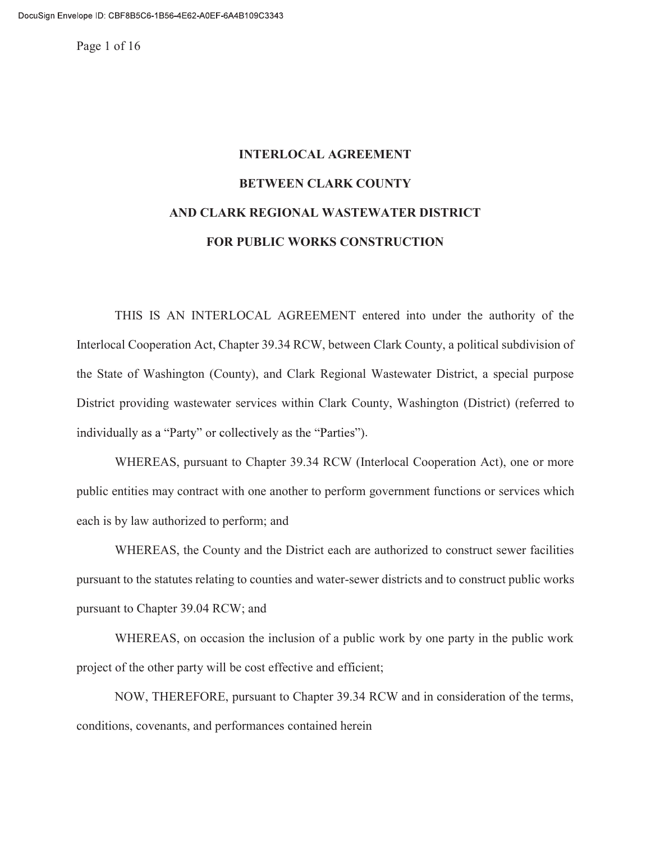Page 1 of 16

# INTERLOCAL AGREEMENT BETWEEN CLARK COUNTY AND CLARK REGIONAL WASTEWATER DISTRICT FOR PUBLIC WORKS CONSTRUCTION

THIS IS AN INTERLOCAL AGREEMENT entered into under the authority of the Interlocal Cooperation Act, Chapter 39.34 RCW, between Clark County, a political subdivision of the State of Washington (County), and Clark Regional Wastewater District, a special purpose District providing wastewater services within Clark County, Washington (District) (referred to individually as a "Party" or collectively as the "Parties").

WHEREAS, pursuant to Chapter 39.34 RCW (Interlocal Cooperation Act), one or more public entities may contract with one another to perform government functions or services which each is by law authorized to perform; and

WHEREAS, the County and the District each are authorized to construct sewer facilities pursuant to the statutes relating to counties and water-sewer districts and to construct public works pursuant to Chapter 39.04 RCW; and

WHEREAS, on occasion the inclusion of a public work by one party in the public work project of the other party will be cost effective and efficient;

NOW, THEREFORE, pursuant to Chapter 39.34 RCW and in consideration of the terms, conditions, covenants, and performances contained herein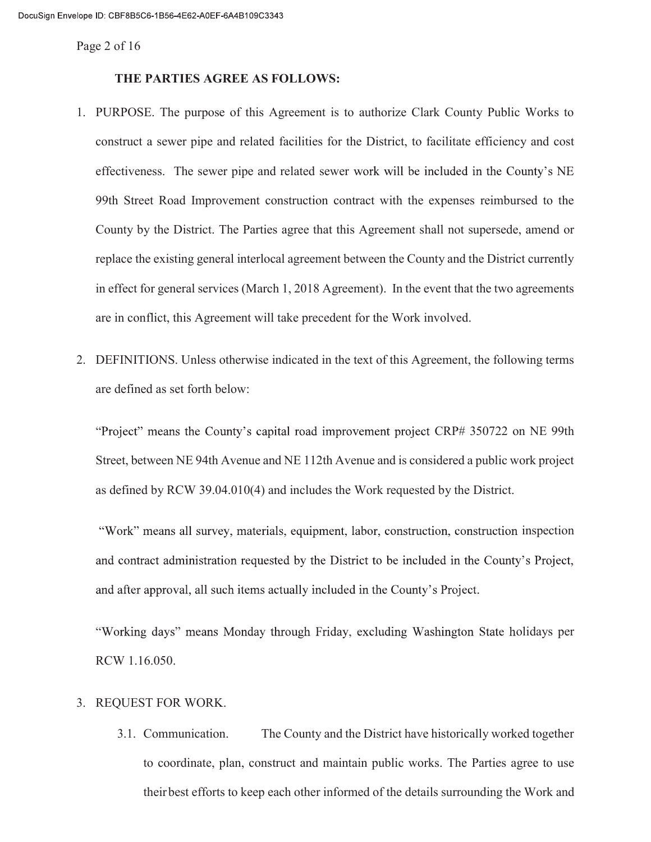Page 2 of 16

# THE PARTIES AGREE AS FOLLOWS:

- 1. PURPOSE. The purpose of this Agreement is to authorize Clark County Public Works to construct a sewer pipe and related facilities for the District, to facilitate efficiency and cost effectiveness. The sewer pipe and related sewer work will be included in the County's NE 99th Street Road Improvement construction contract with the expenses reimbursed to the County by the District. The Parties agree that this Agreement shall not supersede, amend or replace the existing general interlocal agreement between the County and the District currently in effect for general services (March 1, 2018 Agreement). In the event that the two agreements are in conflict, this Agreement will take precedent for the Work involved.
- 2. DEFINITIONS. Unless otherwise indicated in the text of this Agreement, the following terms are defined as set forth below:

"Project" means the County's capital road improvement project CRP# 350722 on NE 99th Street, between NE 94th Avenue and NE 112th Avenue and is considered a public work project as defined by RCW 39.04.010(4) and includes the Work requested by the District.

"Work" means all survey, materials, equipment, labor, construction, construction inspection and contract administration requested by the District to be included in the County's Project, and after approval, all such items actually included in the County's Project.

"Working days" means Monday through Friday, excluding Washington State holidays per RCW 1.16.050.

# 3. REQUEST FOR WORK.

3.1. Communication. The County and the District have historically worked together to coordinate, plan, construct and maintain public works. The Parties agree to use their best efforts to keep each other informed of the details surrounding the Work and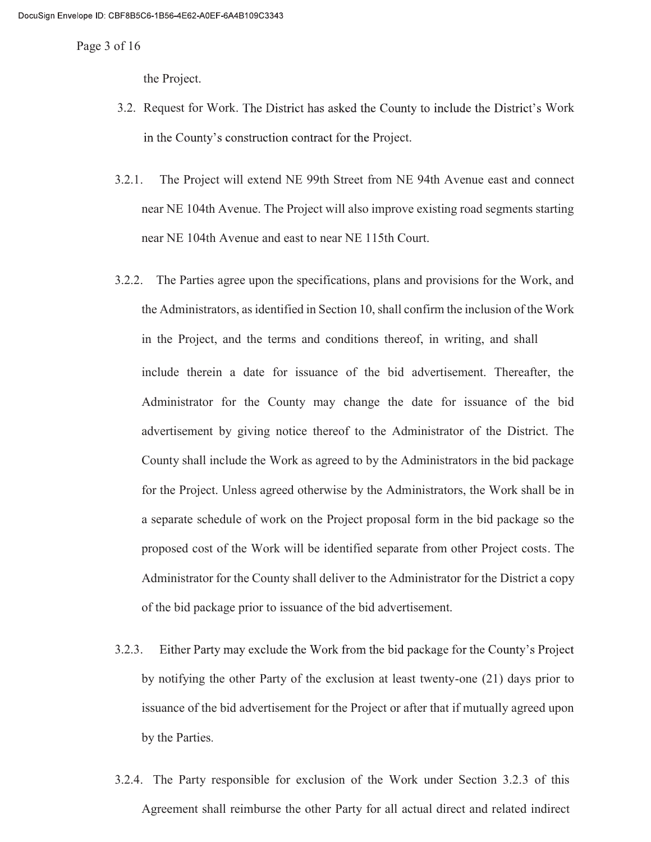Page 3 of 16

the Project.

- 3.2. Request for Work. The District has asked the County to include the District's Work in the County's construction contract for the Project.
- 3.2.1. The Project will extend NE 99th Street from NE 94th Avenue east and connect near NE 104th Avenue. The Project will also improve existing road segments starting near NE 104th Avenue and east to near NE 115th Court.
- 3.2.2. The Parties agree upon the specifications, plans and provisions for the Work, and the Administrators, as identified in Section 10, shall confirm the inclusion of the Work in the Project, and the terms and conditions thereof, in writing, and shall include therein a date for issuance of the bid advertisement. Thereafter, the Administrator for the County may change the date for issuance of the bid advertisement by giving notice thereof to the Administrator of the District. The County shall include the Work as agreed to by the Administrators in the bid package for the Project. Unless agreed otherwise by the Administrators, the Work shall be in a separate schedule of work on the Project proposal form in the bid package so the proposed cost of the Work will be identified separate from other Project costs. The Administrator for the County shall deliver to the Administrator for the District a copy of the bid package prior to issuance of the bid advertisement.
- 3.2.3. Either Party may exclude the Work from the bid package for the County's Project by notifying the other Party of the exclusion at least twenty-one (21) days prior to issuance of the bid advertisement for the Project or after that if mutually agreed upon by the Parties.
- 3.2.4. The Party responsible for exclusion of the Work under Section 3.2.3 of this Agreement shall reimburse the other Party for all actual direct and related indirect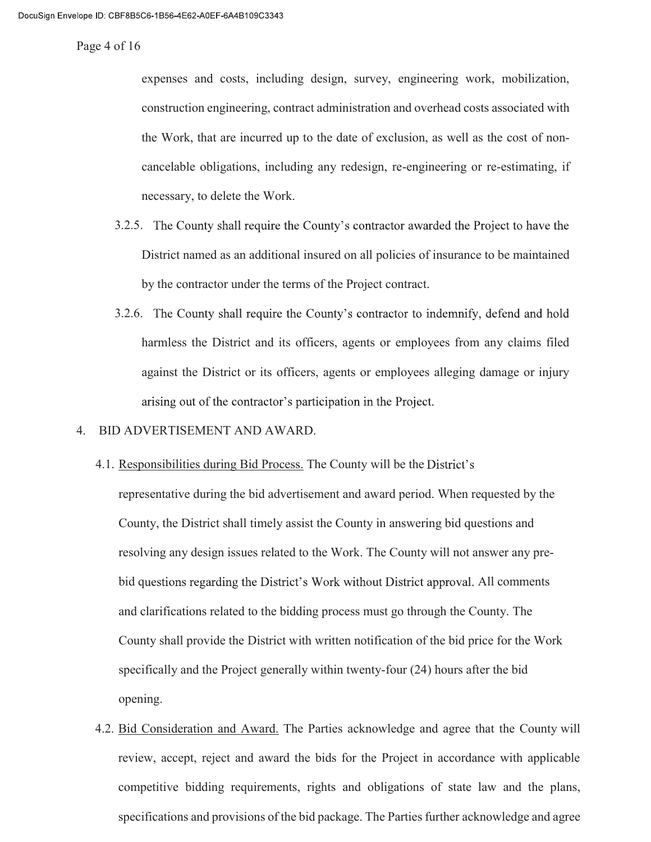Page 4 of 16

expenses and costs, including design, survey, engineering work, mobilization, construction engineering, contract administration and overhead costs associated with the Work, that are incurred up to the date of exclusion, as well as the cost of noncancelable obligations, including any redesign, re-engineering or re-estimating, if necessary, to delete the Work.

- 3.2.5. The County shall require the County's contractor awarded the Project to have the District named as an additional insured on all policies of insurance to be maintained by the contractor under the terms of the Project contract.
- 3.2.6. The County shall require the County's contractor to indemnify, defend and hold harmless the District and its officers, agents or employees from any claims filed against the District or its officers, agents or employees alleging damage or injury arising out of the contractor's participation in the Project.
- 4. BID ADVERTISEMENT AND AWARD.
	- 4.1. Responsibilities during Bid Process. The County will be the District's representative during the bid advertisement and award period. When requested by the County, the District shall timely assist the County in answering bid questions and resolving any design issues related to the Work. The County will not answer any prebid questions regarding the District's Work without District approval. All comments and clarifications related to the bidding process must go through the County. The County shall provide the District with written notification of the bid price for the Work specifically and the Project generally within twenty-four (24) hours after the bid opening.
	- 4.2. Bid Consideration and Award. The Parties acknowledge and agree that the County will review, accept, reject and award the bids for the Project in accordance with applicable competitive bidding requirements, rights and obligations of state law and the plans, specifications and provisions of the bid package. The Parties further acknowledge and agree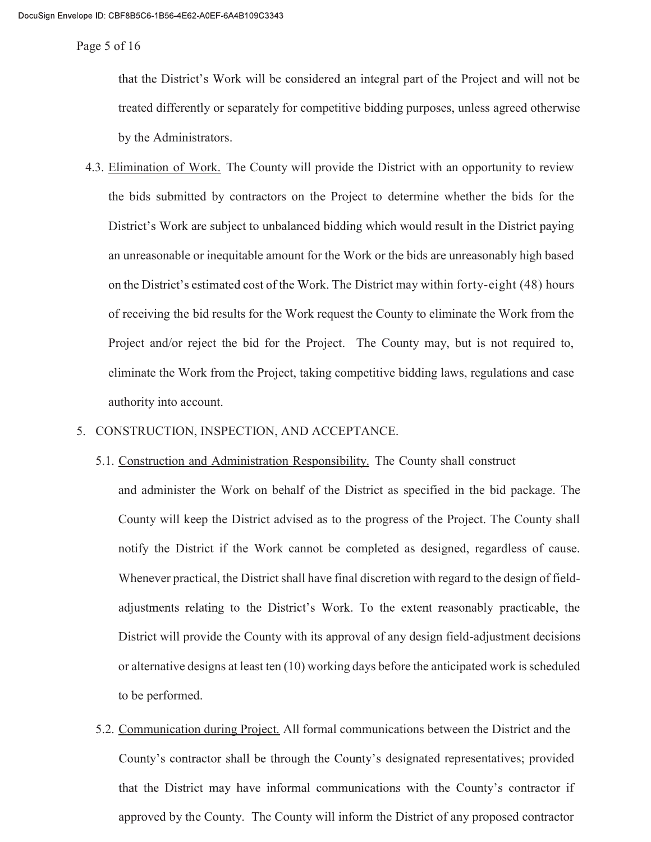Page 5 of 16

that the District's Work will be considered an integral part of the Project and will not be treated differently or separately for competitive bidding purposes, unless agreed otherwise by the Administrators.

4.3. Elimination of Work. The County will provide the District with an opportunity to review the bids submitted by contractors on the Project to determine whether the bids for the District's Work are subject to unbalanced bidding which would result in the District paying an unreasonable or inequitable amount for the Work or the bids are unreasonably high based on the District's estimated cost of the Work. The District may within forty-eight (48) hours of receiving the bid results for the Work request the County to eliminate the Work from the Project and/or reject the bid for the Project. The County may, but is not required to, eliminate the Work from the Project, taking competitive bidding laws, regulations and case authority into account.

#### 5. CONSTRUCTION, INSPECTION, AND ACCEPTANCE.

5.1. Construction and Administration Responsibility. The County shall construct

and administer the Work on behalf of the District as specified in the bid package. The County will keep the District advised as to the progress of the Project. The County shall notify the District if the Work cannot be completed as designed, regardless of cause. Whenever practical, the District shall have final discretion with regard to the design of fieldadjustments relating to the District's Work. To the extent reasonably practicable, the District will provide the County with its approval of any design field-adjustment decisions or alternative designs at least ten (10) working days before the anticipated work is scheduled to be performed.

5.2. Communication during Project. All formal communications between the District and the County's contractor shall be through the County's designated representatives; provided that the District may have informal communications with the County's contractor if approved by the County. The County will inform the District of any proposed contractor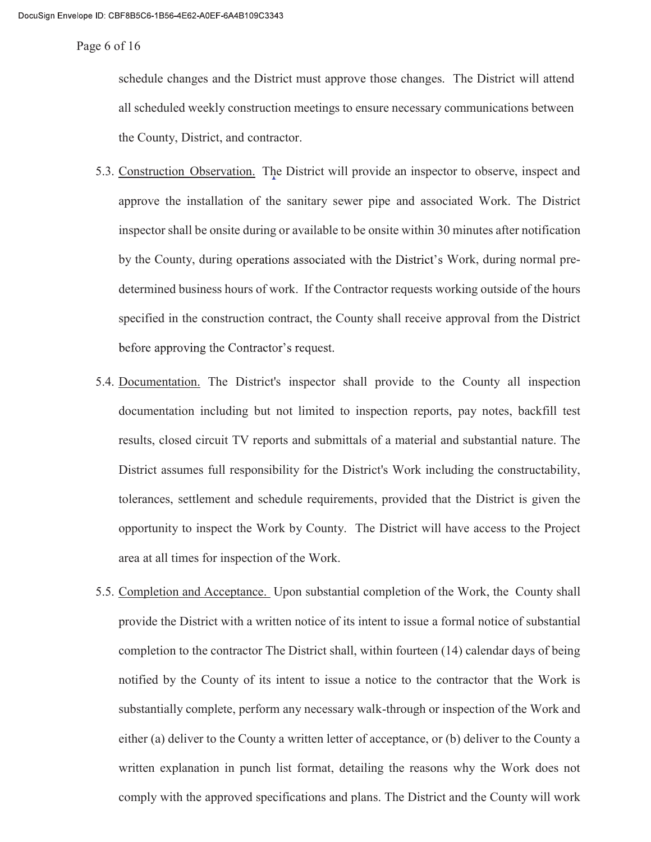Page 6 of 16

schedule changes and the District must approve those changes. The District will attend all scheduled weekly construction meetings to ensure necessary communications between the County, District, and contractor.

- 5.3. Construction Observation. The District will provide an inspector to observe, inspect and approve the installation of the sanitary sewer pipe and associated Work. The District inspector shall be onsite during or available to be onsite within 30 minutes after notification by the County, during operations associated with the District's Work, during normal predetermined business hours of work. If the Contractor requests working outside of the hours specified in the construction contract, the County shall receive approval from the District before approving the Contractor's request.
- 5.4. Documentation. The District's inspector shall provide to the County all inspection documentation including but not limited to inspection reports, pay notes, backfill test results, closed circuit TV reports and submittals of a material and substantial nature. The District assumes full responsibility for the District's Work including the constructability, tolerances, settlement and schedule requirements, provided that the District is given the opportunity to inspect the Work by County. The District will have access to the Project area at all times for inspection of the Work.
- 5.5. Completion and Acceptance. Upon substantial completion of the Work, the County shall provide the District with a written notice of its intent to issue a formal notice of substantial completion to the contractor The District shall, within fourteen (14) calendar days of being notified by the County of its intent to issue a notice to the contractor that the Work is substantially complete, perform any necessary walk-through or inspection of the Work and either (a) deliver to the County a written letter of acceptance, or (b) deliver to the County a written explanation in punch list format, detailing the reasons why the Work does not comply with the approved specifications and plans. The District and the County will work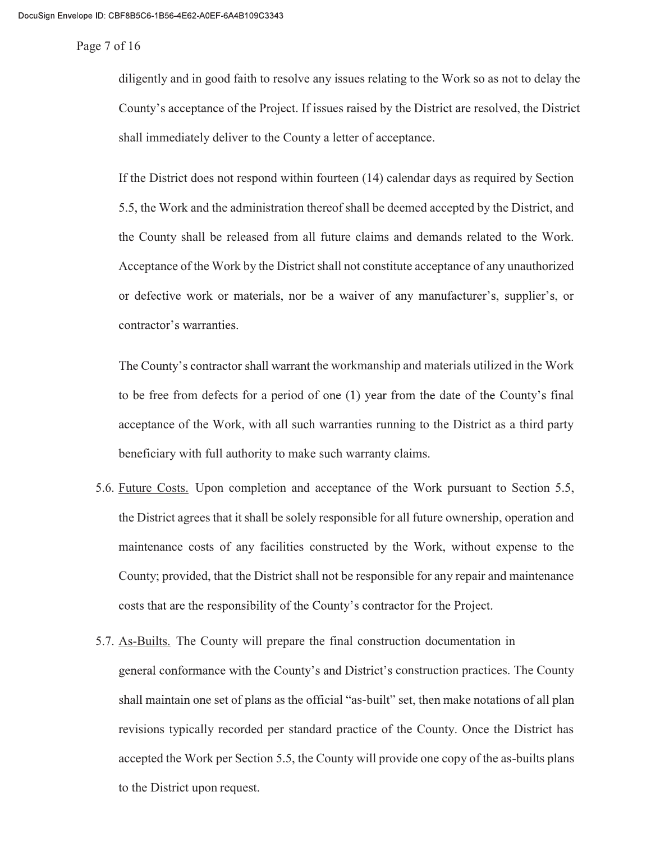Page 7 of 16

diligently and in good faith to resolve any issues relating to the Work so as not to delay the County's acceptance of the Project. If issues raised by the District are resolved, the District shall immediately deliver to the County a letter of acceptance.

If the District does not respond within fourteen (14) calendar days as required by Section 5.5, the Work and the administration thereof shall be deemed accepted by the District, and the County shall be released from all future claims and demands related to the Work. Acceptance of the Work by the District shall not constitute acceptance of any unauthorized or defective work or materials, nor be a waiver of any manufacturer's, supplier's, or contractor's warranties.

The County's contractor shall warrant the workmanship and materials utilized in the Work to be free from defects for a period of one (1) year from the date of the County's final acceptance of the Work, with all such warranties running to the District as a third party beneficiary with full authority to make such warranty claims.

- 5.6. Future Costs. Upon completion and acceptance of the Work pursuant to Section 5.5, the District agrees that it shall be solely responsible for all future ownership, operation and maintenance costs of any facilities constructed by the Work, without expense to the County; provided, that the District shall not be responsible for any repair and maintenance costs that are the responsibility of the County's contractor for the Project.
- 5.7. As-Builts. The County will prepare the final construction documentation in general conformance with the County's and District's construction practices. The County shall maintain one set of plans as the official "as-built" set, then make notations of all plan revisions typically recorded per standard practice of the County. Once the District has accepted the Work per Section 5.5, the County will provide one copy of the as-builts plans to the District upon request.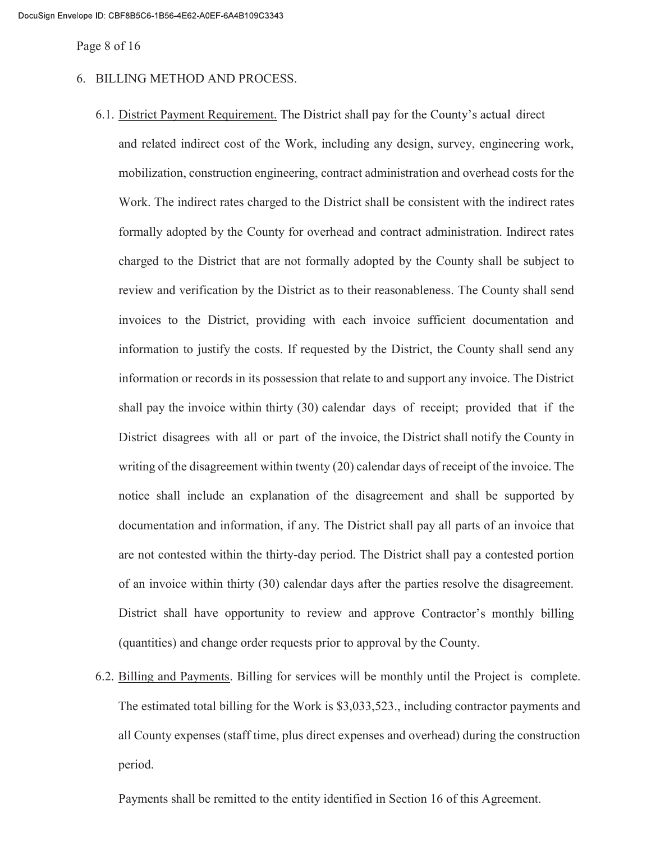Page 8 of 16

- 6. BILLING METHOD AND PROCESS.
	- 6.1. District Payment Requirement. The District shall pay for the County's actual direct and related indirect cost of the Work, including any design, survey, engineering work, mobilization, construction engineering, contract administration and overhead costs for the Work. The indirect rates charged to the District shall be consistent with the indirect rates formally adopted by the County for overhead and contract administration. Indirect rates charged to the District that are not formally adopted by the County shall be subject to review and verification by the District as to their reasonableness. The County shall send invoices to the District, providing with each invoice sufficient documentation and information to justify the costs. If requested by the District, the County shall send any information or records in its possession that relate to and support any invoice. The District shall pay the invoice within thirty (30) calendar days of receipt; provided that if the District disagrees with all or part of the invoice, the District shall notify the County in writing of the disagreement within twenty (20) calendar days of receipt of the invoice. The notice shall include an explanation of the disagreement and shall be supported by documentation and information, if any. The District shall pay all parts of an invoice that are not contested within the thirty-day period. The District shall pay a contested portion of an invoice within thirty (30) calendar days after the parties resolve the disagreement. District shall have opportunity to review and approve Contractor's monthly billing (quantities) and change order requests prior to approval by the County.
	- 6.2. Billing and Payments. Billing for services will be monthly until the Project is complete. The estimated total billing for the Work is \$3,033,523., including contractor payments and all County expenses (staff time, plus direct expenses and overhead) during the construction period.

Payments shall be remitted to the entity identified in Section 16 of this Agreement.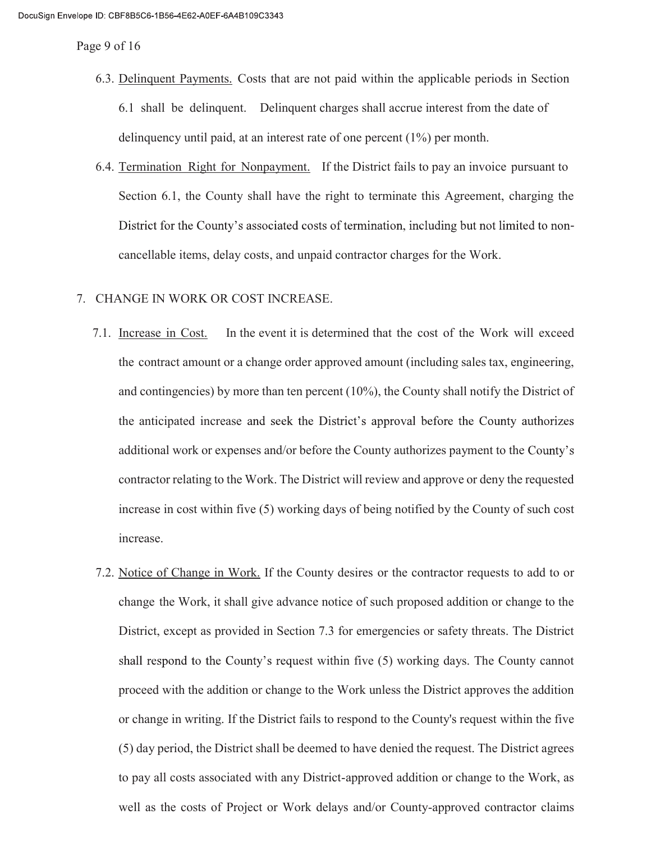Page 9 of 16

- 6.3. Delinquent Payments. Costs that are not paid within the applicable periods in Section 6.1 shall be delinquent. Delinquent charges shall accrue interest from the date of delinquency until paid, at an interest rate of one percent (1%) per month.
- 6.4. Termination Right for Nonpayment. If the District fails to pay an invoice pursuant to Section 6.1, the County shall have the right to terminate this Agreement, charging the District for the County's associated costs of termination, including but not limited to noncancellable items, delay costs, and unpaid contractor charges for the Work.

# 7. CHANGE IN WORK OR COST INCREASE.

- 7.1. Increase in Cost. In the event it is determined that the cost of the Work will exceed the contract amount or a change order approved amount (including sales tax, engineering, and contingencies) by more than ten percent (10%), the County shall notify the District of the anticipated increase and seek the District's approval before the County authorizes additional work or expenses and/or before the County authorizes payment to the County's contractor relating to the Work. The District will review and approve or deny the requested increase in cost within five (5) working days of being notified by the County of such cost increase.
- 7.2. Notice of Change in Work. If the County desires or the contractor requests to add to or change the Work, it shall give advance notice of such proposed addition or change to the District, except as provided in Section 7.3 for emergencies or safety threats. The District shall respond to the County's request within five (5) working days. The County cannot proceed with the addition or change to the Work unless the District approves the addition or change in writing. If the District fails to respond to the County's request within the five (5) day period, the District shall be deemed to have denied the request. The District agrees to pay all costs associated with any District-approved addition or change to the Work, as well as the costs of Project or Work delays and/or County-approved contractor claims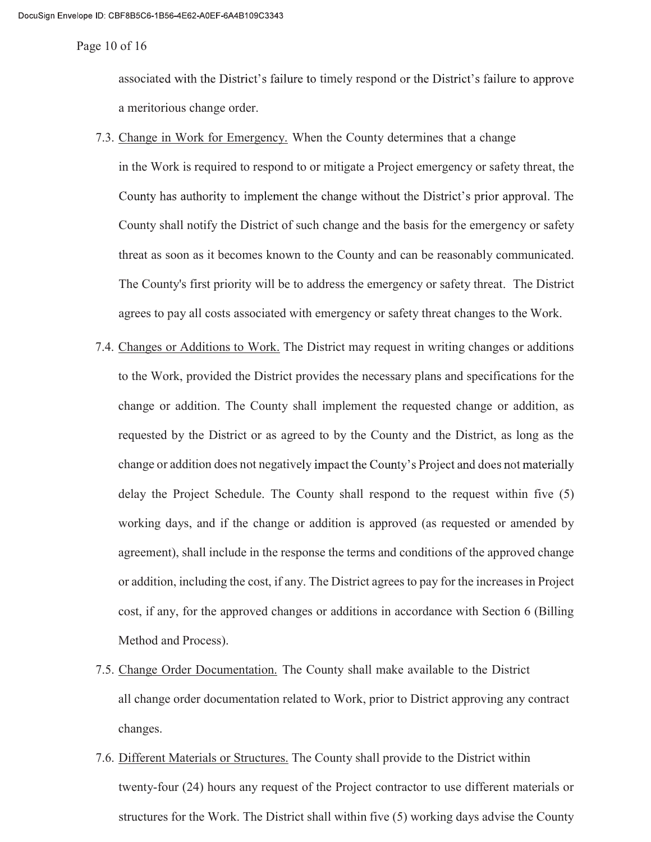Page 10 of 16

associated with the District's failure to timely respond or the District's failure to approve a meritorious change order.

7.3. Change in Work for Emergency. When the County determines that a change

in the Work is required to respond to or mitigate a Project emergency or safety threat, the County has authority to implement the change without the District's prior approval. The County shall notify the District of such change and the basis for the emergency or safety threat as soon as it becomes known to the County and can be reasonably communicated. The County's first priority will be to address the emergency or safety threat. The District agrees to pay all costs associated with emergency or safety threat changes to the Work.

- 7.4. Changes or Additions to Work. The District may request in writing changes or additions to the Work, provided the District provides the necessary plans and specifications for the change or addition. The County shall implement the requested change or addition, as requested by the District or as agreed to by the County and the District, as long as the change or addition does not negatively impact the County's Project and does not materially delay the Project Schedule. The County shall respond to the request within five (5) working days, and if the change or addition is approved (as requested or amended by agreement), shall include in the response the terms and conditions of the approved change or addition, including the cost, if any. The District agrees to pay for the increases in Project cost, if any, for the approved changes or additions in accordance with Section 6 (Billing Method and Process).
- 7.5. Change Order Documentation. The County shall make available to the District all change order documentation related to Work, prior to District approving any contract changes.
- 7.6. Different Materials or Structures. The County shall provide to the District within twenty-four (24) hours any request of the Project contractor to use different materials or structures for the Work. The District shall within five (5) working days advise the County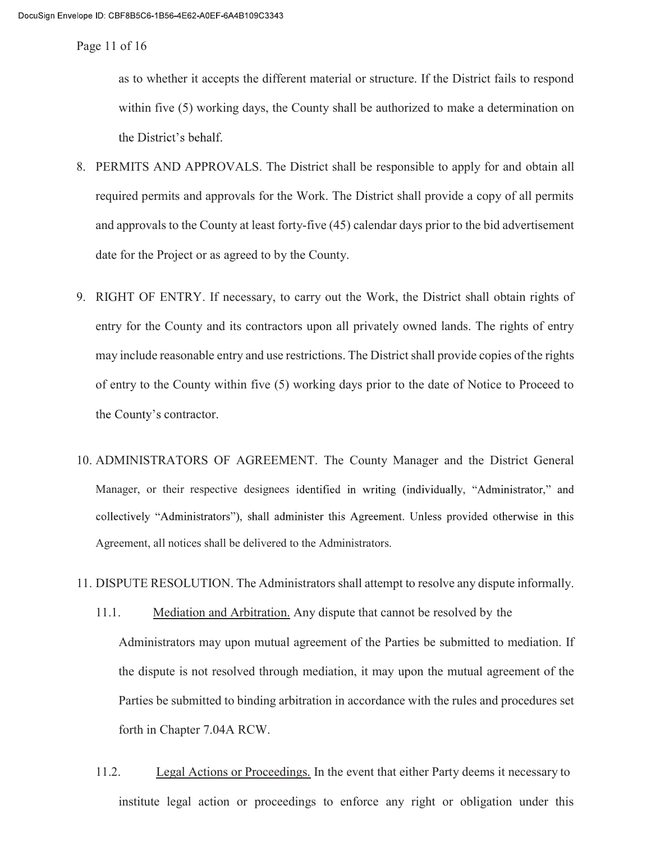Page 11 of 16

as to whether it accepts the different material or structure. If the District fails to respond within five (5) working days, the County shall be authorized to make a determination on the District's behalf.

- 8. PERMITS AND APPROVALS. The District shall be responsible to apply for and obtain all required permits and approvals for the Work. The District shall provide a copy of all permits and approvals to the County at least forty-five (45) calendar days prior to the bid advertisement date for the Project or as agreed to by the County.
- 9. RIGHT OF ENTRY. If necessary, to carry out the Work, the District shall obtain rights of entry for the County and its contractors upon all privately owned lands. The rights of entry may include reasonable entry and use restrictions. The District shall provide copies of the rights of entry to the County within five (5) working days prior to the date of Notice to Proceed to the County's contractor.
- 10. ADMINISTRATORS OF AGREEMENT. The County Manager and the District General Manager, or their respective designees identified in writing (individually, "Administrator," and collectively "Administrators"), shall administer this Agreement. Unless provided otherwise in this Agreement, all notices shall be delivered to the Administrators.
- 11. DISPUTE RESOLUTION. The Administrators shall attempt to resolve any dispute informally.
	- 11.1. Mediation and Arbitration. Any dispute that cannot be resolved by the Administrators may upon mutual agreement of the Parties be submitted to mediation. If the dispute is not resolved through mediation, it may upon the mutual agreement of the Parties be submitted to binding arbitration in accordance with the rules and procedures set forth in Chapter 7.04A RCW.
	- 11.2. Legal Actions or Proceedings. In the event that either Party deems it necessary to institute legal action or proceedings to enforce any right or obligation under this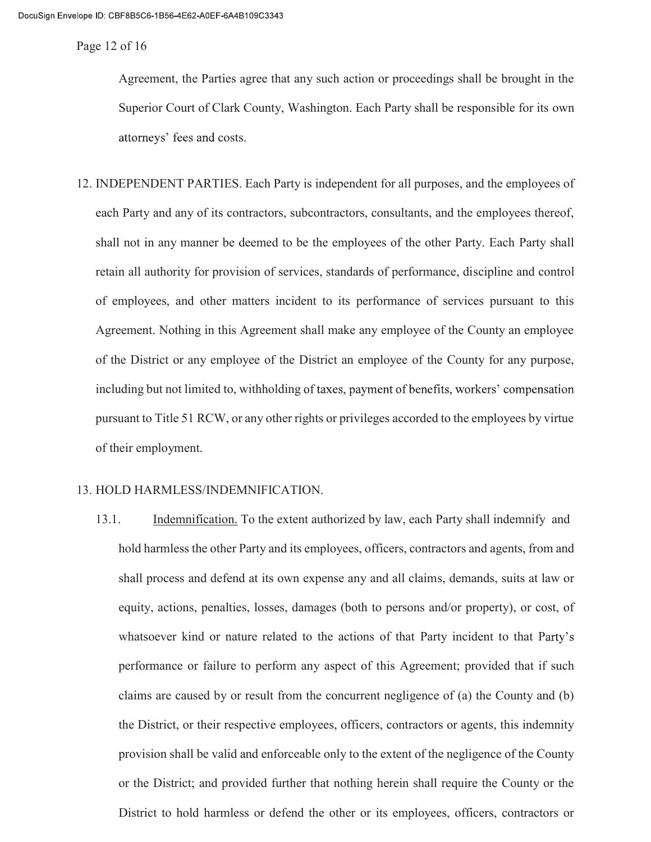Page 12 of 16

Agreement, the Parties agree that any such action or proceedings shall be brought in the Superior Court of Clark County, Washington. Each Party shall be responsible for its own attorneys' fees and costs.

12. INDEPENDENT PARTIES. Each Party is independent for all purposes, and the employees of each Party and any of its contractors, subcontractors, consultants, and the employees thereof, shall not in any manner be deemed to be the employees of the other Party. Each Party shall retain all authority for provision of services, standards of performance, discipline and control of employees, and other matters incident to its performance of services pursuant to this Agreement. Nothing in this Agreement shall make any employee of the County an employee of the District or any employee of the District an employee of the County for any purpose, including but not limited to, withholding of taxes, payment of benefits, workers' compensation pursuant to Title 51 RCW, or any other rights or privileges accorded to the employees by virtue of their employment.

# 13. HOLD HARMLESS/INDEMNIFICATION.

13.1. Indemnification. To the extent authorized by law, each Party shall indemnify and hold harmless the other Party and its employees, officers, contractors and agents, from and shall process and defend at its own expense any and all claims, demands, suits at law or equity, actions, penalties, losses, damages (both to persons and/or property), or cost, of whatsoever kind or nature related to the actions of that Party incident to that Party's performance or failure to perform any aspect of this Agreement; provided that if such claims are caused by or result from the concurrent negligence of (a) the County and (b) the District, or their respective employees, officers, contractors or agents, this indemnity provision shall be valid and enforceable only to the extent of the negligence of the County or the District; and provided further that nothing herein shall require the County or the District to hold harmless or defend the other or its employees, officers, contractors or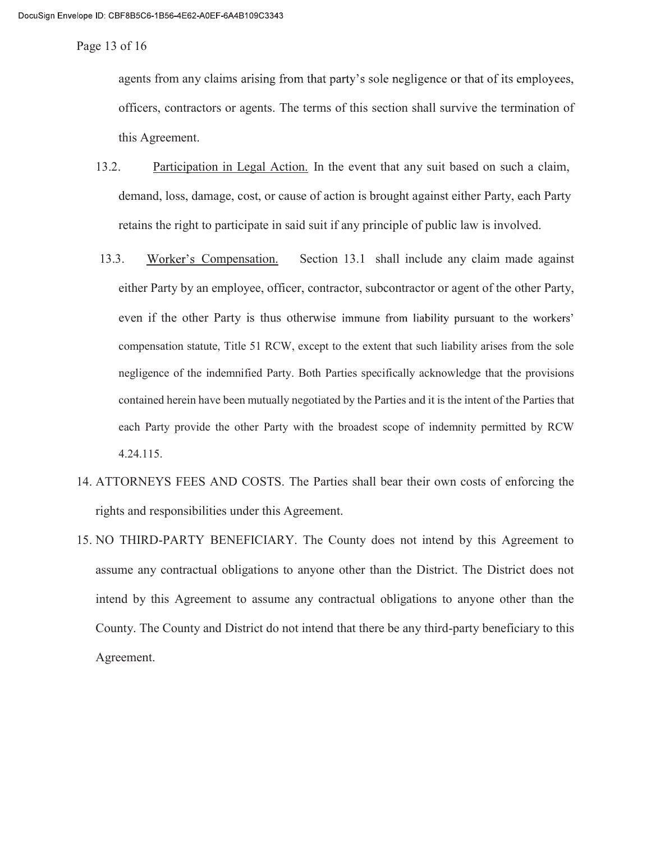Page 13 of 16

agents from any claims arising from that party's sole negligence or that of its employees, officers, contractors or agents. The terms of this section shall survive the termination of this Agreement.

- 13.2. Participation in Legal Action. In the event that any suit based on such a claim, demand, loss, damage, cost, or cause of action is brought against either Party, each Party retains the right to participate in said suit if any principle of public law is involved.
- 13.3. Compensation. Section 13.1 shall include any claim made against either Party by an employee, officer, contractor, subcontractor or agent of the other Party, even if the other Party is thus otherwise immune from liability pursuant to the workers' compensation statute, Title 51 RCW, except to the extent that such liability arises from the sole negligence of the indemnified Party. Both Parties specifically acknowledge that the provisions contained herein have been mutually negotiated by the Parties and it is the intent of the Parties that each Party provide the other Party with the broadest scope of indemnity permitted by RCW 4.24.115.
- 14. ATTORNEYS FEES AND COSTS. The Parties shall bear their own costs of enforcing the rights and responsibilities under this Agreement.
- 15. NO THIRD-PARTY BENEFICIARY. The County does not intend by this Agreement to assume any contractual obligations to anyone other than the District. The District does not intend by this Agreement to assume any contractual obligations to anyone other than the County. The County and District do not intend that there be any third-party beneficiary to this Agreement.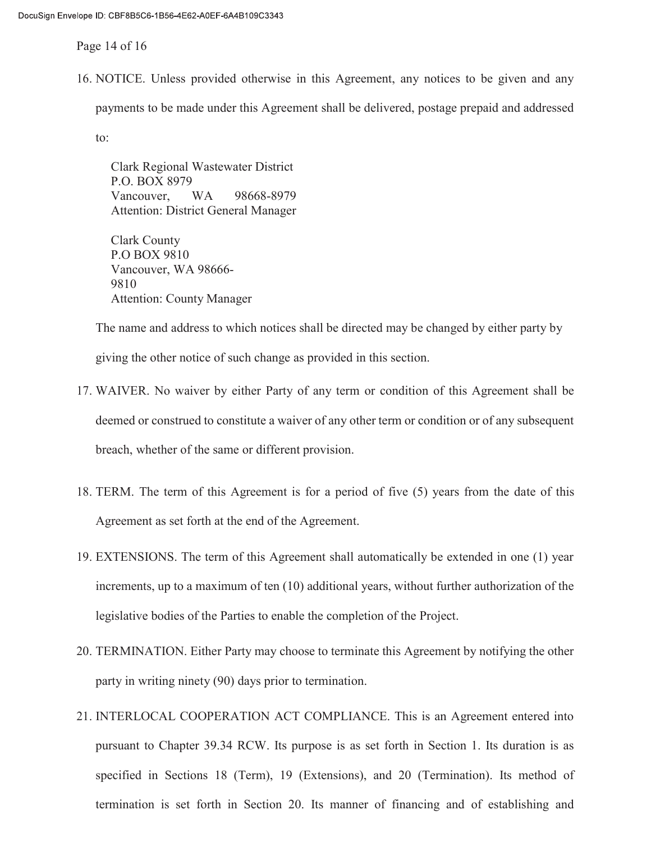Page 14 of 16

16. NOTICE. Unless provided otherwise in this Agreement, any notices to be given and any

payments to be made under this Agreement shall be delivered, postage prepaid and addressed

to:

Clark Regional Wastewater District P.O. BOX 8979 Vancouver, WA 98668-8979 Attention: District General Manager

Clark County P.O BOX 9810 Vancouver, WA 98666-9810 Attention: County Manager

The name and address to which notices shall be directed may be changed by either party by giving the other notice of such change as provided in this section.

- 17. WAIVER. No waiver by either Party of any term or condition of this Agreement shall be deemed or construed to constitute a waiver of any other term or condition or of any subsequent breach, whether of the same or different provision.
- 18. TERM. The term of this Agreement is for a period of five (5) years from the date of this Agreement as set forth at the end of the Agreement.
- 19. EXTENSIONS. The term of this Agreement shall automatically be extended in one (1) year increments, up to a maximum of ten (10) additional years, without further authorization of the legislative bodies of the Parties to enable the completion of the Project.
- 20. TERMINATION. Either Party may choose to terminate this Agreement by notifying the other party in writing ninety (90) days prior to termination.
- 21. INTERLOCAL COOPERATION ACT COMPLIANCE. This is an Agreement entered into pursuant to Chapter 39.34 RCW. Its purpose is as set forth in Section 1. Its duration is as specified in Sections 18 (Term), 19 (Extensions), and 20 (Termination). Its method of termination is set forth in Section 20. Its manner of financing and of establishing and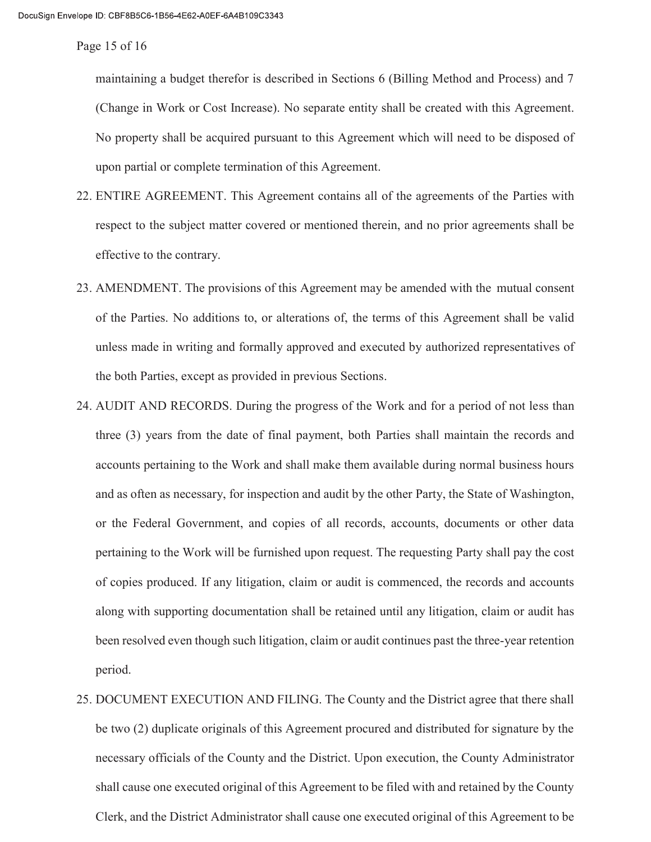Page 15 of 16

maintaining a budget therefor is described in Sections 6 (Billing Method and Process) and 7 (Change in Work or Cost Increase). No separate entity shall be created with this Agreement. No property shall be acquired pursuant to this Agreement which will need to be disposed of upon partial or complete termination of this Agreement.

- 22. ENTIRE AGREEMENT. This Agreement contains all of the agreements of the Parties with respect to the subject matter covered or mentioned therein, and no prior agreements shall be effective to the contrary.
- 23. AMENDMENT. The provisions of this Agreement may be amended with the mutual consent of the Parties. No additions to, or alterations of, the terms of this Agreement shall be valid unless made in writing and formally approved and executed by authorized representatives of the both Parties, except as provided in previous Sections.
- 24. AUDIT AND RECORDS. During the progress of the Work and for a period of not less than three (3) years from the date of final payment, both Parties shall maintain the records and accounts pertaining to the Work and shall make them available during normal business hours and as often as necessary, for inspection and audit by the other Party, the State of Washington, or the Federal Government, and copies of all records, accounts, documents or other data pertaining to the Work will be furnished upon request. The requesting Party shall pay the cost of copies produced. If any litigation, claim or audit is commenced, the records and accounts along with supporting documentation shall be retained until any litigation, claim or audit has been resolved even though such litigation, claim or audit continues past the three-year retention period.
- 25. DOCUMENT EXECUTION AND FILING. The County and the District agree that there shall be two (2) duplicate originals of this Agreement procured and distributed for signature by the necessary officials of the County and the District. Upon execution, the County Administrator shall cause one executed original of this Agreement to be filed with and retained by the County Clerk, and the District Administrator shall cause one executed original of this Agreement to be